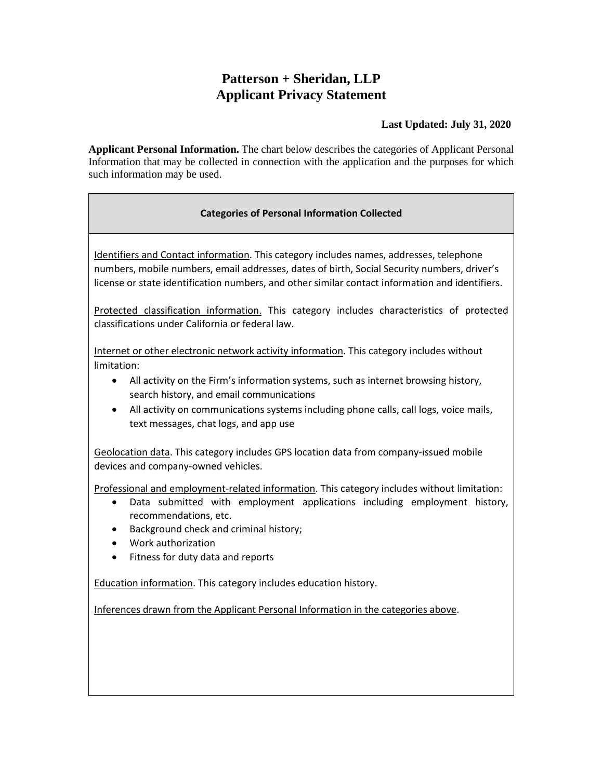## **Patterson + Sheridan, LLP Applicant Privacy Statement**

## **Last Updated: July 31, 2020**

**Applicant Personal Information.** The chart below describes the categories of Applicant Personal Information that may be collected in connection with the application and the purposes for which such information may be used.

## **Categories of Personal Information Collected**

Identifiers and Contact information. This category includes names, addresses, telephone numbers, mobile numbers, email addresses, dates of birth, Social Security numbers, driver's license or state identification numbers, and other similar contact information and identifiers.

Protected classification information. This category includes characteristics of protected classifications under California or federal law.

Internet or other electronic network activity information. This category includes without limitation:

- All activity on the Firm's information systems, such as internet browsing history, search history, and email communications
- All activity on communications systems including phone calls, call logs, voice mails, text messages, chat logs, and app use

Geolocation data. This category includes GPS location data from company-issued mobile devices and company-owned vehicles.

Professional and employment-related information. This category includes without limitation:

- Data submitted with employment applications including employment history, recommendations, etc.
- Background check and criminal history;
- Work authorization
- Fitness for duty data and reports

Education information. This category includes education history.

Inferences drawn from the Applicant Personal Information in the categories above.